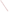